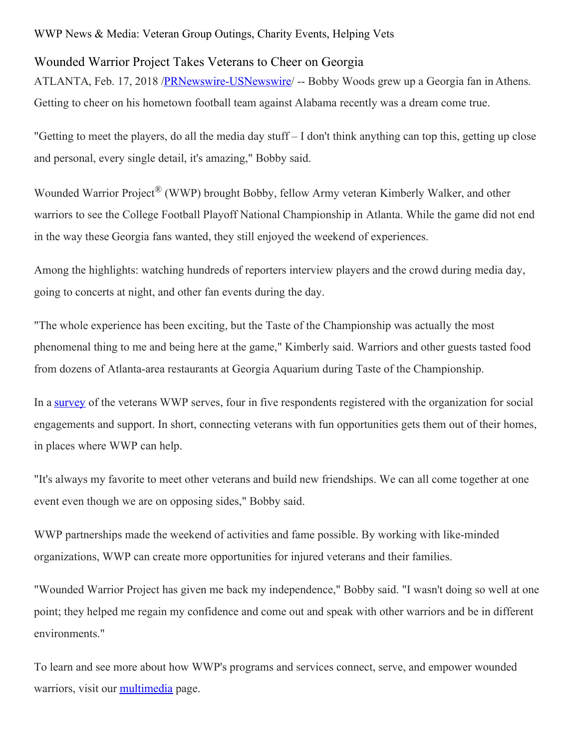## WWP News & Media: Veteran Group Outings, Charity Events, Helping Vets

## Wounded Warrior Project Takes Veterans to Cheer on Georgia

ATLANTA, Feb. 17, 2018 /**PRNewswire-USNewswire/ --** Bobby Woods grew up a Georgia fan in Athens. Getting to cheer on his hometown football team against Alabama recently was a dream come true.

"Getting to meet the players, do all the media day stuff – I don't think anything can top this, getting up close and personal, every single detail, it's amazing," Bobby said.

Wounded Warrior Project<sup>®</sup> (WWP) brought Bobby, fellow Army veteran Kimberly Walker, and other warriors to see the College Football Playoff National Championship in Atlanta. While the game did not end in the way these Georgia fans wanted, they still enjoyed the weekend of experiences.

Among the highlights: watching hundreds of reporters interview players and the crowd during media day, going to concerts at night, and other fan events during the day.

"The whole experience has been exciting, but the Taste of the Championship was actually the most phenomenal thing to me and being here at the game," Kimberly said. Warriors and other guests tasted food from dozens of Atlanta-area restaurants at Georgia Aquarium during Taste of the Championship.

In a [survey](https://www.woundedwarriorproject.org/survey) of the veterans WWP serves, four in five respondents registered with the organization for social engagements and support. In short, connecting veterans with fun opportunities gets them out of their homes, in places where WWP can help.

"It's always my favorite to meet other veterans and build new friendships. We can all come together at one event even though we are on opposing sides," Bobby said.

WWP partnerships made the weekend of activities and fame possible. By working with like-minded organizations, WWP can create more opportunities for injured veterans and their families.

"Wounded Warrior Project has given me back my independence," Bobby said. "I wasn't doing so well at one point; they helped me regain my confidence and come out and speak with other warriors and be in different environments."

To learn and see more about how WWP's programs and services connect, serve, and empower wounded warriors, visit our [multimedia](https://newsroom.woundedwarriorproject.org/image-gallery) page.